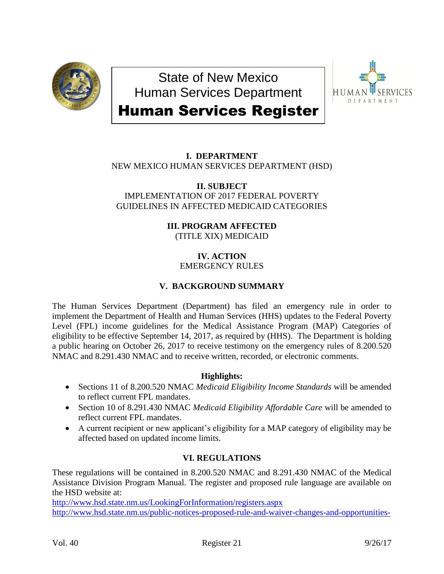

State of New Mexico Human Services Department



# Human Services Register

# **I. DEPARTMENT**

NEW MEXICO HUMAN SERVICES DEPARTMENT (HSD)

#### **II. SUBJECT** IMPLEMENTATION OF 2017 FEDERAL POVERTY GUIDELINES IN AFFECTED MEDICAID CATEGORIES

## **III. PROGRAM AFFECTED** (TITLE XIX) MEDICAID

### **IV. ACTION** EMERGENCY RULES

## **V. BACKGROUND SUMMARY**

The Human Services Department (Department) has filed an emergency rule in order to implement the Department of Health and Human Services (HHS) updates to the Federal Poverty Level (FPL) income guidelines for the Medical Assistance Program (MAP) Categories of eligibility to be effective September 14, 2017, as required by (HHS). The Department is holding a public hearing on October 26, 2017 to receive testimony on the emergency rules of 8.200.520 NMAC and 8.291.430 NMAC and to receive written, recorded, or electronic comments.

## **Highlights:**

- Sections 11 of 8.200.520 NMAC *Medicaid Eligibility Income Standards* will be amended to reflect current FPL mandates.
- Section 10 of 8.291.430 NMAC *Medicaid Eligibility Affordable Care* will be amended to reflect current FPL mandates.
- A current recipient or new applicant's eligibility for a MAP category of eligibility may be affected based on updated income limits.

## **VI. REGULATIONS**

These regulations will be contained in 8.200.520 NMAC and 8.291.430 NMAC of the Medical Assistance Division Program Manual. The register and proposed rule language are available on the HSD website at:

<http://www.hsd.state.nm.us/LookingForInformation/registers.aspx> [http://www.hsd.state.nm.us/public-notices-proposed-rule-and-waiver-changes-and-opportunities-](http://www.hsd.state.nm.us/public-notices-proposed-rule-and-waiver-changes-and-opportunities-to-comment.aspx)